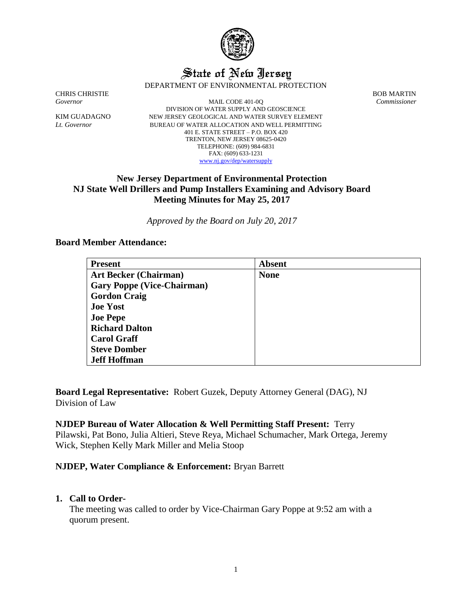

# State of New Jersey DEPARTMENT OF ENVIRONMENTAL PROTECTION

CHRIS CHRISTIE BOB MARTIN

*Governor* MAIL CODE 401-0Q *Commissioner* DIVISION OF WATER SUPPLY AND GEOSCIENCE KIM GUADAGNO NEW JERSEY GEOLOGICAL AND WATER SURVEY ELEMENT *Lt. Governor* BUREAU OF WATER ALLOCATION AND WELL PERMITTING 401 E. STATE STREET – P.O. BOX 420 TRENTON, NEW JERSEY 08625-0420 TELEPHONE: (609) 984-6831 FAX: (609) 633-1231 [www.nj.gov/dep/watersupply](http://www.nj.gov/dep/watersupply)

# **New Jersey Department of Environmental Protection NJ State Well Drillers and Pump Installers Examining and Advisory Board Meeting Minutes for May 25, 2017**

*Approved by the Board on July 20, 2017*

### **Board Member Attendance:**

| <b>Present</b>                    | <b>Absent</b> |
|-----------------------------------|---------------|
| <b>Art Becker (Chairman)</b>      | <b>None</b>   |
| <b>Gary Poppe (Vice-Chairman)</b> |               |
| <b>Gordon Craig</b>               |               |
| <b>Joe Yost</b>                   |               |
| <b>Joe Pepe</b>                   |               |
| <b>Richard Dalton</b>             |               |
| <b>Carol Graff</b>                |               |
| <b>Steve Domber</b>               |               |
| <b>Jeff Hoffman</b>               |               |

**Board Legal Representative:** Robert Guzek, Deputy Attorney General (DAG), NJ Division of Law

## **NJDEP Bureau of Water Allocation & Well Permitting Staff Present:** Terry

Pilawski, Pat Bono, Julia Altieri, Steve Reya, Michael Schumacher, Mark Ortega, Jeremy Wick, Stephen Kelly Mark Miller and Melia Stoop

### **NJDEP, Water Compliance & Enforcement:** Bryan Barrett

### **1. Call to Order-**

The meeting was called to order by Vice-Chairman Gary Poppe at 9:52 am with a quorum present.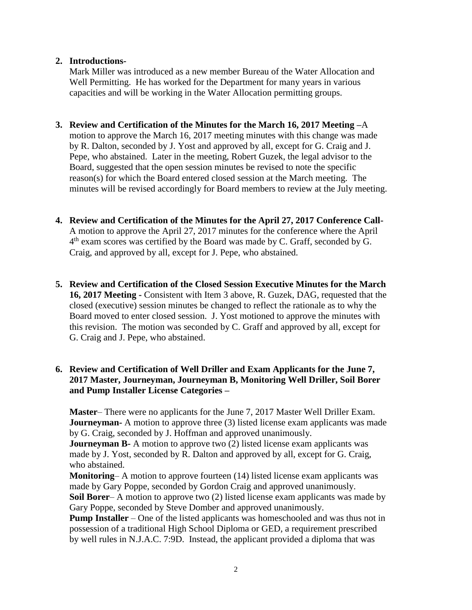## **2. Introductions-**

Mark Miller was introduced as a new member Bureau of the Water Allocation and Well Permitting. He has worked for the Department for many years in various capacities and will be working in the Water Allocation permitting groups.

**3. Review and Certification of the Minutes for the March 16, 2017 Meeting –**A

motion to approve the March 16, 2017 meeting minutes with this change was made by R. Dalton, seconded by J. Yost and approved by all, except for G. Craig and J. Pepe, who abstained. Later in the meeting, Robert Guzek, the legal advisor to the Board, suggested that the open session minutes be revised to note the specific reason(s) for which the Board entered closed session at the March meeting. The minutes will be revised accordingly for Board members to review at the July meeting.

- **4. Review and Certification of the Minutes for the April 27, 2017 Conference Call-**A motion to approve the April 27, 2017 minutes for the conference where the April  $4<sup>th</sup>$  exam scores was certified by the Board was made by C. Graff, seconded by G. Craig, and approved by all, except for J. Pepe, who abstained.
- **5. Review and Certification of the Closed Session Executive Minutes for the March 16, 2017 Meeting -** Consistent with Item 3 above, R. Guzek, DAG, requested that the closed (executive) session minutes be changed to reflect the rationale as to why the Board moved to enter closed session. J. Yost motioned to approve the minutes with this revision. The motion was seconded by C. Graff and approved by all, except for G. Craig and J. Pepe, who abstained.

## **6. Review and Certification of Well Driller and Exam Applicants for the June 7, 2017 Master, Journeyman, Journeyman B, Monitoring Well Driller, Soil Borer and Pump Installer License Categories –**

**Master**– There were no applicants for the June 7, 2017 Master Well Driller Exam. **Journeyman-** A motion to approve three (3) listed license exam applicants was made by G. Craig, seconded by J. Hoffman and approved unanimously.

**Journeyman B-** A motion to approve two (2) listed license exam applicants was made by J. Yost, seconded by R. Dalton and approved by all, except for G. Craig, who abstained.

**Monitoring–** A motion to approve fourteen (14) listed license exam applicants was made by Gary Poppe, seconded by Gordon Craig and approved unanimously.

**Soil Borer**– A motion to approve two (2) listed license exam applicants was made by Gary Poppe, seconded by Steve Domber and approved unanimously.

**Pump Installer** – One of the listed applicants was homeschooled and was thus not in possession of a traditional High School Diploma or GED, a requirement prescribed by well rules in N.J.A.C. 7:9D. Instead, the applicant provided a diploma that was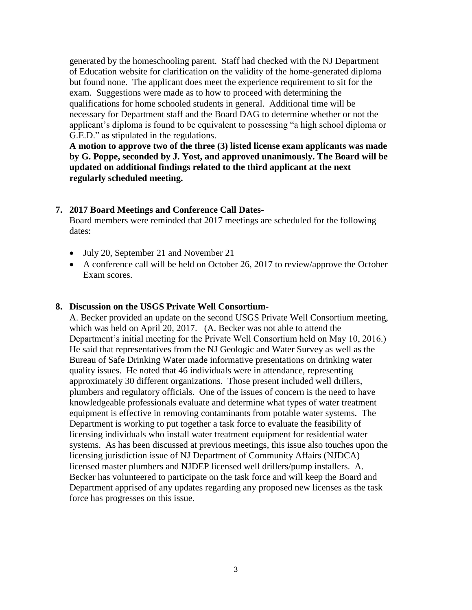generated by the homeschooling parent. Staff had checked with the NJ Department of Education website for clarification on the validity of the home-generated diploma but found none. The applicant does meet the experience requirement to sit for the exam. Suggestions were made as to how to proceed with determining the qualifications for home schooled students in general. Additional time will be necessary for Department staff and the Board DAG to determine whether or not the applicant's diploma is found to be equivalent to possessing "a high school diploma or G.E.D." as stipulated in the regulations.

**A motion to approve two of the three (3) listed license exam applicants was made by G. Poppe, seconded by J. Yost, and approved unanimously. The Board will be updated on additional findings related to the third applicant at the next regularly scheduled meeting.**

### **7. 2017 Board Meetings and Conference Call Dates-**

Board members were reminded that 2017 meetings are scheduled for the following dates:

- July 20, September 21 and November 21
- A conference call will be held on October 26, 2017 to review/approve the October Exam scores.

### **8. Discussion on the USGS Private Well Consortium-**

A. Becker provided an update on the second USGS Private Well Consortium meeting, which was held on April 20, 2017. (A. Becker was not able to attend the Department's initial meeting for the Private Well Consortium held on May 10, 2016.) He said that representatives from the NJ Geologic and Water Survey as well as the Bureau of Safe Drinking Water made informative presentations on drinking water quality issues. He noted that 46 individuals were in attendance, representing approximately 30 different organizations. Those present included well drillers, plumbers and regulatory officials. One of the issues of concern is the need to have knowledgeable professionals evaluate and determine what types of water treatment equipment is effective in removing contaminants from potable water systems. The Department is working to put together a task force to evaluate the feasibility of licensing individuals who install water treatment equipment for residential water systems. As has been discussed at previous meetings, this issue also touches upon the licensing jurisdiction issue of NJ Department of Community Affairs (NJDCA) licensed master plumbers and NJDEP licensed well drillers/pump installers. A. Becker has volunteered to participate on the task force and will keep the Board and Department apprised of any updates regarding any proposed new licenses as the task force has progresses on this issue.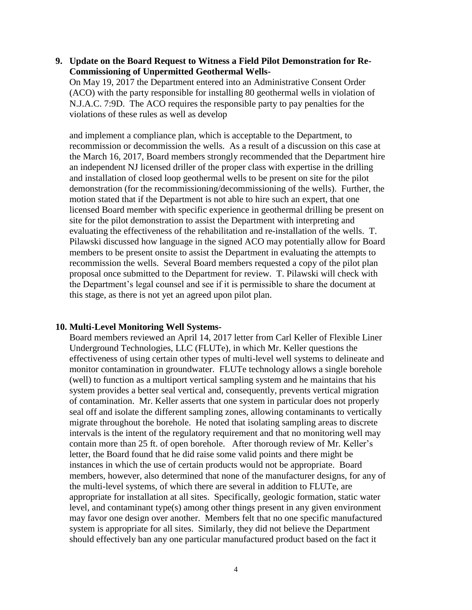**9. Update on the Board Request to Witness a Field Pilot Demonstration for Re-Commissioning of Unpermitted Geothermal Wells-**

On May 19, 2017 the Department entered into an Administrative Consent Order (ACO) with the party responsible for installing 80 geothermal wells in violation of N.J.A.C. 7:9D. The ACO requires the responsible party to pay penalties for the violations of these rules as well as develop

and implement a compliance plan, which is acceptable to the Department, to recommission or decommission the wells. As a result of a discussion on this case at the March 16, 2017, Board members strongly recommended that the Department hire an independent NJ licensed driller of the proper class with expertise in the drilling and installation of closed loop geothermal wells to be present on site for the pilot demonstration (for the recommissioning/decommissioning of the wells). Further, the motion stated that if the Department is not able to hire such an expert, that one licensed Board member with specific experience in geothermal drilling be present on site for the pilot demonstration to assist the Department with interpreting and evaluating the effectiveness of the rehabilitation and re-installation of the wells. T. Pilawski discussed how language in the signed ACO may potentially allow for Board members to be present onsite to assist the Department in evaluating the attempts to recommission the wells. Several Board members requested a copy of the pilot plan proposal once submitted to the Department for review. T. Pilawski will check with the Department's legal counsel and see if it is permissible to share the document at this stage, as there is not yet an agreed upon pilot plan.

#### **10. Multi-Level Monitoring Well Systems-**

Board members reviewed an April 14, 2017 letter from Carl Keller of Flexible Liner Underground Technologies, LLC (FLUTe), in which Mr. Keller questions the effectiveness of using certain other types of multi-level well systems to delineate and monitor contamination in groundwater. FLUTe technology allows a single borehole (well) to function as a multiport vertical sampling system and he maintains that his system provides a better seal vertical and, consequently, prevents vertical migration of contamination. Mr. Keller asserts that one system in particular does not properly seal off and isolate the different sampling zones, allowing contaminants to vertically migrate throughout the borehole. He noted that isolating sampling areas to discrete intervals is the intent of the regulatory requirement and that no monitoring well may contain more than 25 ft. of open borehole. After thorough review of Mr. Keller's letter, the Board found that he did raise some valid points and there might be instances in which the use of certain products would not be appropriate. Board members, however, also determined that none of the manufacturer designs, for any of the multi-level systems, of which there are several in addition to FLUTe, are appropriate for installation at all sites. Specifically, geologic formation, static water level, and contaminant type(s) among other things present in any given environment may favor one design over another. Members felt that no one specific manufactured system is appropriate for all sites. Similarly, they did not believe the Department should effectively ban any one particular manufactured product based on the fact it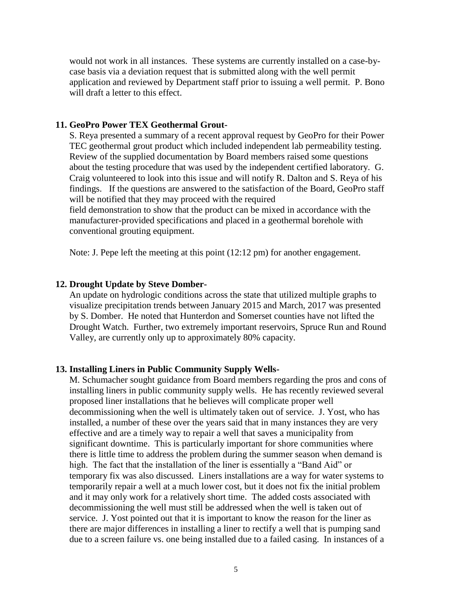would not work in all instances. These systems are currently installed on a case-bycase basis via a deviation request that is submitted along with the well permit application and reviewed by Department staff prior to issuing a well permit. P. Bono will draft a letter to this effect.

### **11. GeoPro Power TEX Geothermal Grout-**

S. Reya presented a summary of a recent approval request by GeoPro for their Power TEC geothermal grout product which included independent lab permeability testing. Review of the supplied documentation by Board members raised some questions about the testing procedure that was used by the independent certified laboratory. G. Craig volunteered to look into this issue and will notify R. Dalton and S. Reya of his findings. If the questions are answered to the satisfaction of the Board, GeoPro staff will be notified that they may proceed with the required

field demonstration to show that the product can be mixed in accordance with the manufacturer-provided specifications and placed in a geothermal borehole with conventional grouting equipment.

Note: J. Pepe left the meeting at this point (12:12 pm) for another engagement.

### **12. Drought Update by Steve Domber-**

An update on hydrologic conditions across the state that utilized multiple graphs to visualize precipitation trends between January 2015 and March, 2017 was presented by S. Domber. He noted that Hunterdon and Somerset counties have not lifted the Drought Watch. Further, two extremely important reservoirs, Spruce Run and Round Valley, are currently only up to approximately 80% capacity.

#### **13. Installing Liners in Public Community Supply Wells-**

M. Schumacher sought guidance from Board members regarding the pros and cons of installing liners in public community supply wells. He has recently reviewed several proposed liner installations that he believes will complicate proper well decommissioning when the well is ultimately taken out of service. J. Yost, who has installed, a number of these over the years said that in many instances they are very effective and are a timely way to repair a well that saves a municipality from significant downtime. This is particularly important for shore communities where there is little time to address the problem during the summer season when demand is high. The fact that the installation of the liner is essentially a "Band Aid" or temporary fix was also discussed. Liners installations are a way for water systems to temporarily repair a well at a much lower cost, but it does not fix the initial problem and it may only work for a relatively short time. The added costs associated with decommissioning the well must still be addressed when the well is taken out of service. J. Yost pointed out that it is important to know the reason for the liner as there are major differences in installing a liner to rectify a well that is pumping sand due to a screen failure vs. one being installed due to a failed casing. In instances of a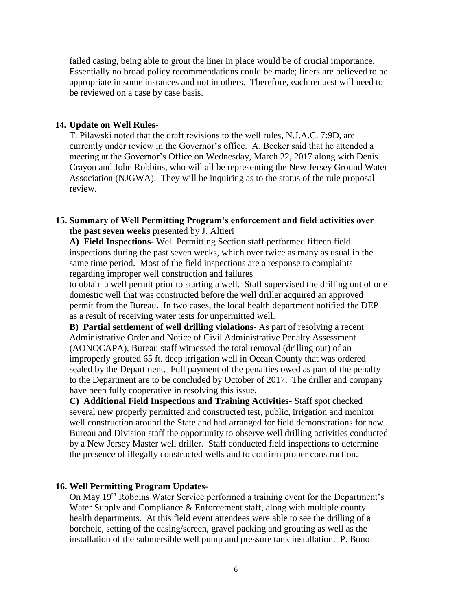failed casing, being able to grout the liner in place would be of crucial importance. Essentially no broad policy recommendations could be made; liners are believed to be appropriate in some instances and not in others. Therefore, each request will need to be reviewed on a case by case basis.

### **14. Update on Well Rules-**

T. Pilawski noted that the draft revisions to the well rules, N.J.A.C. 7:9D, are currently under review in the Governor's office. A. Becker said that he attended a meeting at the Governor's Office on Wednesday, March 22, 2017 along with Denis Crayon and John Robbins, who will all be representing the New Jersey Ground Water Association (NJGWA). They will be inquiring as to the status of the rule proposal review.

### **15. Summary of Well Permitting Program's enforcement and field activities over the past seven weeks** presented by J. Altieri

**A) Field Inspections-** Well Permitting Section staff performed fifteen field inspections during the past seven weeks, which over twice as many as usual in the same time period. Most of the field inspections are a response to complaints regarding improper well construction and failures

to obtain a well permit prior to starting a well. Staff supervised the drilling out of one domestic well that was constructed before the well driller acquired an approved permit from the Bureau. In two cases, the local health department notified the DEP as a result of receiving water tests for unpermitted well.

**B) Partial settlement of well drilling violations-** As part of resolving a recent Administrative Order and Notice of Civil Administrative Penalty Assessment (AONOCAPA), Bureau staff witnessed the total removal (drilling out) of an improperly grouted 65 ft. deep irrigation well in Ocean County that was ordered sealed by the Department. Full payment of the penalties owed as part of the penalty to the Department are to be concluded by October of 2017. The driller and company have been fully cooperative in resolving this issue.

**C) Additional Field Inspections and Training Activities-** Staff spot checked several new properly permitted and constructed test, public, irrigation and monitor well construction around the State and had arranged for field demonstrations for new Bureau and Division staff the opportunity to observe well drilling activities conducted by a New Jersey Master well driller. Staff conducted field inspections to determine the presence of illegally constructed wells and to confirm proper construction.

### **16. Well Permitting Program Updates-**

On May 19th Robbins Water Service performed a training event for the Department's Water Supply and Compliance & Enforcement staff, along with multiple county health departments. At this field event attendees were able to see the drilling of a borehole, setting of the casing/screen, gravel packing and grouting as well as the installation of the submersible well pump and pressure tank installation. P. Bono